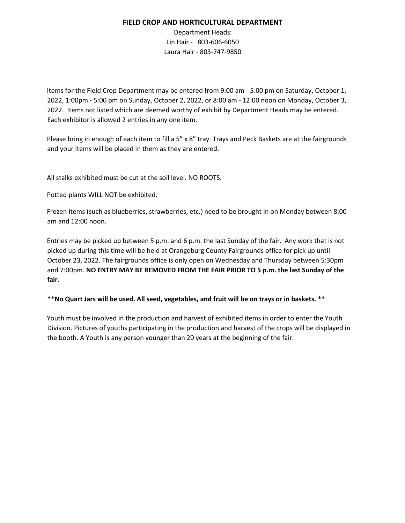## **FIELD CROP AND HORTICULTURAL DEPARTMENT**

Department Heads: Lin Hair - 803-606-6050 Laura Hair - 803-747-9850

Items for the Field Crop Department may be entered from 9:00 am - 5:00 pm on Saturday, October 1, 2022, 1:00pm - 5:00 pm on Sunday, October 2, 2022, or 8:00 am - 12:00 noon on Monday, October 3, 2022. Items not listed which are deemed worthy of exhibit by Department Heads may be entered. Each exhibitor is allowed 2 entries in any one item.

Please bring in enough of each item to fill a 5" x 8" tray. Trays and Peck Baskets are at the fairgrounds and your items will be placed in them as they are entered.

All stalks exhibited must be cut at the soil level. NO ROOTS.

Potted plants WILL NOT be exhibited.

Frozen items (such as blueberries, strawberries, etc.) need to be brought in on Monday between 8:00 am and 12:00 noon.

Entries may be picked up between 5 p.m. and 6 p.m. the last Sunday of the fair. Any work that is not picked up during this time will be held at Orangeburg County Fairgrounds office for pick up until October 23, 2022. The fairgrounds office is only open on Wednesday and Thursday between 5:30pm and 7:00pm. **NO ENTRY MAY BE REMOVED FROM THE FAIR PRIOR TO 5 p.m. the last Sunday of the fair.**

**\*\*No Quart Jars will be used. All seed, vegetables, and fruit will be on trays or in baskets. \*\***

Youth must be involved in the production and harvest of exhibited items in order to enter the Youth Division. Pictures of youths participating in the production and harvest of the crops will be displayed in the booth. A Youth is any person younger than 20 years at the beginning of the fair.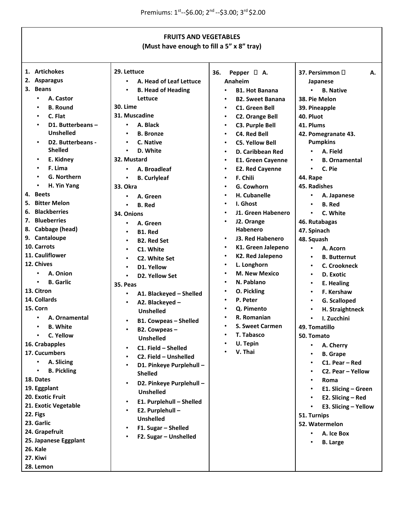|                                | <b>FRUITS AND VEGETABLES</b>                              |                                       |                            |  |  |
|--------------------------------|-----------------------------------------------------------|---------------------------------------|----------------------------|--|--|
|                                | (Must have enough to fill a 5" x 8" tray)                 |                                       |                            |  |  |
|                                |                                                           |                                       |                            |  |  |
|                                |                                                           |                                       |                            |  |  |
| 1. Artichokes                  | 29. Lettuce                                               | 36.<br>Pepper $\Box$ A.               | 37. Persimmon $\Box$<br>А. |  |  |
| 2. Asparagus                   | A. Head of Leaf Lettuce<br>٠                              | Anaheim                               | Japanese                   |  |  |
| 3. Beans                       | <b>B. Head of Heading</b><br>$\bullet$                    | <b>B1. Hot Banana</b><br>$\bullet$    | <b>B.</b> Native           |  |  |
| A. Castor<br>$\bullet$         | Lettuce                                                   | <b>B2. Sweet Banana</b>               | 38. Pie Melon              |  |  |
| <b>B.</b> Round                | <b>30. Lime</b>                                           | <b>C1. Green Bell</b><br>$\bullet$    | 39. Pineapple              |  |  |
| C. Flat<br>٠                   | 31. Muscadine                                             | <b>C2. Orange Bell</b><br>$\bullet$   | 40. Pluot                  |  |  |
| D1. Butterbeans -<br>$\bullet$ | A. Black<br>$\bullet$                                     | <b>C3. Purple Bell</b>                | 41. Plums                  |  |  |
| <b>Unshelled</b>               | <b>B.</b> Bronze<br>$\bullet$                             | <b>C4. Red Bell</b>                   | 42. Pomegranate 43.        |  |  |
| D2. Butterbeans -              | $\bullet$<br>C. Native                                    | <b>C5. Yellow Bell</b>                | <b>Pumpkins</b>            |  |  |
| <b>Shelled</b>                 | D. White<br>$\bullet$                                     | D. Caribbean Red<br>$\bullet$         | A. Field                   |  |  |
| E. Kidney<br>٠                 | 32. Mustard                                               | <b>E1. Green Cayenne</b><br>$\bullet$ | <b>B.</b> Ornamental       |  |  |
| F. Lima<br>$\bullet$           | A. Broadleaf<br>$\bullet$                                 | <b>E2. Red Cayenne</b><br>$\bullet$   | C. Pie                     |  |  |
| <b>G. Northern</b>             | <b>B.</b> Curlyleaf<br>$\bullet$                          | F. Chili                              | 44. Rape                   |  |  |
| H. Yin Yang<br>$\bullet$       | <b>33. Okra</b>                                           | G. Cowhorn                            | 45. Radishes               |  |  |
| 4. Beets                       | A. Green<br>٠                                             | H. Cubanelle                          | A. Japanese                |  |  |
| 5. Bitter Melon                | <b>B.</b> Red<br>$\bullet$                                | I. Ghost                              | <b>B.</b> Red              |  |  |
| <b>Blackberries</b><br>6.      | 34. Onions                                                | J1. Green Habenero                    | C. White                   |  |  |
| 7. Blueberries                 | A. Green<br>$\bullet$                                     | J2. Orange                            | 46. Rutabagas              |  |  |
| 8. Cabbage (head)              | B1. Red<br>$\bullet$                                      | Habenero                              | 47. Spinach                |  |  |
| 9. Cantaloupe                  | <b>B2. Red Set</b><br>$\bullet$                           | J3. Red Habenero<br>$\bullet$         | 48. Squash                 |  |  |
| 10. Carrots                    | C1. White<br>$\bullet$                                    | K1. Green Jalepeno                    | A. Acorn                   |  |  |
| 11. Cauliflower                | C2. White Set<br>$\bullet$                                | <b>K2. Red Jalepeno</b><br>$\bullet$  | <b>B.</b> Butternut        |  |  |
| 12. Chives                     | D1. Yellow<br>$\bullet$                                   | L. Longhorn                           | C. Crookneck               |  |  |
| A. Onion                       | D2. Yellow Set<br>$\bullet$                               | <b>M. New Mexico</b>                  | D. Exotic<br>$\bullet$     |  |  |
| <b>B.</b> Garlic<br>$\bullet$  | 35. Peas                                                  | N. Pablano                            | E. Healing<br>٠            |  |  |
| 13. Citron                     | A1. Blackeyed - Shelled<br>$\bullet$                      | O. Pickling<br>$\bullet$              | F. Kershaw                 |  |  |
| 14. Collards                   | A2. Blackeyed -<br>$\bullet$                              | P. Peter                              | G. Scalloped               |  |  |
| 15. Corn                       | <b>Unshelled</b>                                          | Q. Pimento                            | H. Straightneck            |  |  |
| A. Ornamental                  | <b>B1. Cowpeas - Shelled</b><br>$\bullet$                 | R. Romanian                           | I. Zucchini                |  |  |
| <b>B.</b> White                | $\bullet$<br>B2. Cowpeas -                                | <b>S. Sweet Carmen</b>                | 49. Tomatillo              |  |  |
| C. Yellow                      | <b>Unshelled</b>                                          | T. Tabasco                            | 50. Tomato                 |  |  |
| 16. Crabapples                 | C1. Field - Shelled<br>$\bullet$                          | U. Tepin                              | A. Cherry                  |  |  |
| 17. Cucumbers                  | C2. Field - Unshelled<br>$\bullet$                        | V. Thai                               | <b>B.</b> Grape            |  |  |
| A. Slicing<br>$\bullet$        | D1. Pinkeye Purplehull -<br>$\bullet$                     |                                       | C1. Pear - Red             |  |  |
| <b>B. Pickling</b>             | <b>Shelled</b>                                            |                                       | C2. Pear - Yellow          |  |  |
| 18. Dates                      | D2. Pinkeye Purplehull -<br>$\bullet$                     |                                       | Roma                       |  |  |
| 19. Eggplant                   | <b>Unshelled</b>                                          |                                       | E1. Slicing - Green        |  |  |
| 20. Exotic Fruit               | $\bullet$                                                 |                                       | E2. Slicing - Red          |  |  |
| 21. Exotic Vegetable           | E1. Purplehull - Shelled<br>E2. Purplehull -<br>$\bullet$ |                                       | E3. Slicing - Yellow       |  |  |
| 22. Figs                       | Unshelled                                                 |                                       | 51. Turnips                |  |  |
| 23. Garlic                     |                                                           |                                       | 52. Watermelon             |  |  |
| 24. Grapefruit                 | F1. Sugar - Shelled                                       |                                       | A. Ice Box                 |  |  |
| 25. Japanese Eggplant          | F2. Sugar - Unshelled                                     |                                       | <b>B.</b> Large            |  |  |
| 26. Kale                       |                                                           |                                       |                            |  |  |
| 27. Kiwi                       |                                                           |                                       |                            |  |  |
| 28. Lemon                      |                                                           |                                       |                            |  |  |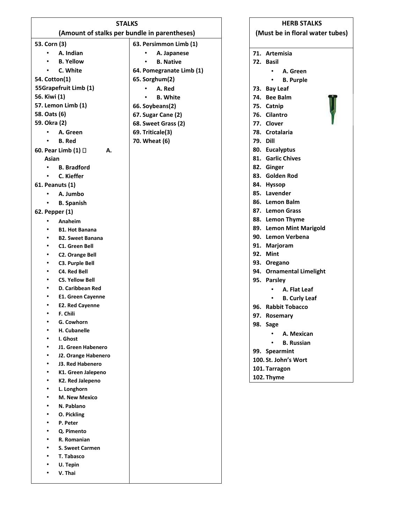| <b>STALKS</b>                                |                          |  |  |  |
|----------------------------------------------|--------------------------|--|--|--|
| (Amount of stalks per bundle in parentheses) |                          |  |  |  |
| 53. Corn (3)                                 | 63. Persimmon Limb (1)   |  |  |  |
| A. Indian                                    | A. Japanese              |  |  |  |
| <b>B. Yellow</b>                             | <b>B.</b> Native         |  |  |  |
| C. White                                     | 64. Pomegranate Limb (1) |  |  |  |
| 54. Cotton(1)                                | 65. Sorghum(2)           |  |  |  |
| 55Grapefruit Limb (1)                        | A. Red                   |  |  |  |
| 56. Kiwi (1)                                 | <b>B.</b> White          |  |  |  |
| 57. Lemon Limb (1)                           | 66. Soybeans(2)          |  |  |  |
| 58. Oats (6)                                 | 67. Sugar Cane (2)       |  |  |  |
| 59. Okra (2)                                 | 68. Sweet Grass (2)      |  |  |  |
| A. Green                                     | 69. Triticale(3)         |  |  |  |
| <b>B.</b> Red                                | 70. Wheat (6)            |  |  |  |
| 60. Pear Limb (1) □<br>А.                    |                          |  |  |  |
| Asian                                        |                          |  |  |  |
| <b>B.</b> Bradford                           |                          |  |  |  |
| C. Kieffer                                   |                          |  |  |  |
| 61. Peanuts (1)                              |                          |  |  |  |
| A. Jumbo                                     |                          |  |  |  |
| <b>B.</b> Spanish                            |                          |  |  |  |
| 62. Pepper (1)                               |                          |  |  |  |
| Anaheim                                      |                          |  |  |  |
| <b>B1. Hot Banana</b>                        |                          |  |  |  |
| <b>B2. Sweet Banana</b>                      |                          |  |  |  |
| C1. Green Bell                               |                          |  |  |  |
| <b>C2. Orange Bell</b><br>٠                  |                          |  |  |  |
| C3. Purple Bell<br>٠                         |                          |  |  |  |
| <b>C4. Red Bell</b>                          |                          |  |  |  |
| <b>C5. Yellow Bell</b><br>٠                  |                          |  |  |  |
| D. Caribbean Red                             |                          |  |  |  |
| <b>E1. Green Cayenne</b>                     |                          |  |  |  |
| <b>E2. Red Cayenne</b>                       |                          |  |  |  |
| F. Chili                                     |                          |  |  |  |
| G. Cowhorn                                   |                          |  |  |  |
| H. Cubanelle                                 |                          |  |  |  |
| I. Ghost                                     |                          |  |  |  |
| J1. Green Habenero                           |                          |  |  |  |
| J2. Orange Habenero<br>٠                     |                          |  |  |  |
| J3. Red Habenero                             |                          |  |  |  |
| K1. Green Jalepeno<br>K2. Red Jalepeno       |                          |  |  |  |
| L. Longhorn                                  |                          |  |  |  |
| <b>M. New Mexico</b>                         |                          |  |  |  |
| N. Pablano                                   |                          |  |  |  |
| O. Pickling<br>٠                             |                          |  |  |  |
| P. Peter<br>٠                                |                          |  |  |  |
| Q. Pimento                                   |                          |  |  |  |
| R. Romanian                                  |                          |  |  |  |
| <b>S. Sweet Carmen</b>                       |                          |  |  |  |
| T. Tabasco                                   |                          |  |  |  |
| U. Tepin<br>٠                                |                          |  |  |  |
| V. Thai                                      |                          |  |  |  |
|                                              |                          |  |  |  |

| <b>HERB STALKS</b>              |                          |  |
|---------------------------------|--------------------------|--|
| (Must be in floral water tubes) |                          |  |
| 71.                             | Artemisia                |  |
|                                 | 72. Basil                |  |
|                                 | A. Green                 |  |
|                                 | <b>B. Purple</b>         |  |
|                                 | 73. Bay Leaf             |  |
|                                 | 74. Bee Balm             |  |
|                                 | 75. Catnip               |  |
|                                 | 76. Cilantro             |  |
|                                 | 77. Clover               |  |
|                                 | 78. Crotalaria           |  |
|                                 | 79. Dill                 |  |
|                                 | 80. Eucalyptus           |  |
|                                 | 81. Garlic Chives        |  |
|                                 | 82. Ginger               |  |
|                                 | 83. Golden Rod           |  |
|                                 | 84. Hyssop               |  |
|                                 | 85. Lavender             |  |
|                                 | 86. Lemon Balm           |  |
|                                 | 87. Lemon Grass          |  |
|                                 | 88. Lemon Thyme          |  |
|                                 | 89. Lemon Mint Marigold  |  |
|                                 | 90. Lemon Verbena        |  |
|                                 | 91. Marjoram             |  |
|                                 | 92. Mint                 |  |
|                                 | 93. Oregano              |  |
|                                 | 94. Ornamental Limelight |  |
|                                 | 95. Parsley              |  |
|                                 | A. Flat Leaf             |  |
|                                 | <b>B. Curly Leaf</b>     |  |
|                                 | 96. Rabbit Tobacco       |  |
|                                 | 97. Rosemary             |  |
|                                 | 98. Sage                 |  |
|                                 | A. Mexican               |  |
|                                 | <b>B. Russian</b>        |  |
|                                 | 99. Spearmint            |  |
|                                 | 100. St. John's Wort     |  |
|                                 | 101. Tarragon            |  |
|                                 | 102. Thyme               |  |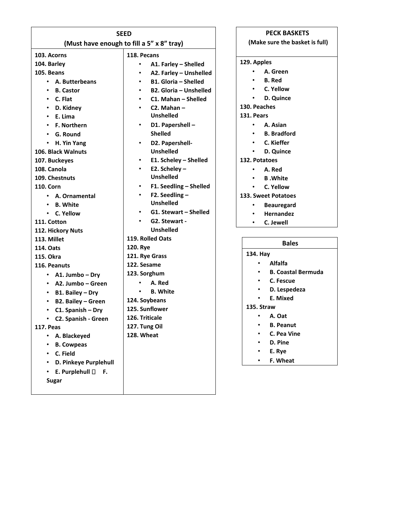| <b>SEED</b>                        |                                           | <b>PECK BASKETS</b>                    |
|------------------------------------|-------------------------------------------|----------------------------------------|
|                                    | (Must have enough to fill a 5" x 8" tray) | (Make sure the basket is full)         |
| 103. Acorns                        | 118. Pecans                               |                                        |
| 104. Barley                        | A1. Farley - Shelled<br>$\bullet$         | 129. Apples                            |
| 105. Beans                         | A2. Farley - Unshelled<br>٠               | $\bullet$<br>A. Green                  |
| A. Butterbeans<br>$\bullet$        | <b>B1. Gloria - Shelled</b><br>$\bullet$  | <b>B.</b> Red                          |
| <b>B.</b> Castor<br>٠              | B2. Gloria - Unshelled<br>$\bullet$       | C. Yellow                              |
| C. Flat<br>٠                       | C1. Mahan - Shelled<br>$\bullet$          | D. Quince<br>٠                         |
| D. Kidney<br>٠                     | $C2.$ Mahan $-$                           | 130. Peaches                           |
| E. Lima<br>$\bullet$               | <b>Unshelled</b>                          | 131. Pears                             |
| <b>F. Northern</b>                 | D1. Papershell -                          | A. Asian                               |
| G. Round<br>$\bullet$              | <b>Shelled</b>                            | <b>B.</b> Bradford                     |
| H. Yin Yang<br>$\bullet$           | D2. Papershell-                           | C. Kieffer                             |
| 106. Black Walnuts                 | <b>Unshelled</b>                          | D. Quince<br>$\bullet$                 |
| 107. Buckeyes                      | E1. Scheley - Shelled                     | 132. Potatoes                          |
| 108. Canola                        | E2. Scheley -                             | A. Red                                 |
| 109. Chestnuts                     | <b>Unshelled</b>                          | <b>B</b> .White<br>$\bullet$           |
| 110. Corn                          | F1. Seedling - Shelled<br>$\bullet$       | C. Yellow<br>$\bullet$                 |
| • A. Ornamental                    | F2. Seedling $-$                          | <b>133. Sweet Potatoes</b>             |
| <b>B.</b> White                    | <b>Unshelled</b>                          | <b>Beauregard</b><br>٠                 |
| • C. Yellow                        | G1. Stewart - Shelled                     | <b>Hernandez</b><br>$\bullet$          |
| 111. Cotton                        | G2. Stewart -                             | C. Jewell<br>$\bullet$                 |
| 112. Hickory Nuts                  | <b>Unshelled</b>                          |                                        |
| 113. Millet                        | 119. Rolled Oats                          |                                        |
| 114. Oats                          | 120. Rye                                  | <b>Bales</b>                           |
| <b>115. Okra</b>                   | 121. Rye Grass                            | 134. Hay                               |
| 116. Peanuts                       | 122. Sesame                               | Alfalfa                                |
| • A1. Jumbo – Dry                  | 123. Sorghum                              | <b>B. Coastal Bermuda</b><br>$\bullet$ |
| A2. Jumbo – Green<br>$\bullet$     | A. Red                                    | C. Fescue<br>$\bullet$                 |
| B1. Bailey - Dry<br>$\bullet$      | <b>B.</b> White                           | D. Lespedeza<br>٠                      |
| B2. Bailey - Green<br>$\bullet$    | 124. Soybeans                             | E. Mixed<br>$\bullet$                  |
| C1. Spanish - Dry<br>٠             | 125. Sunflower                            | 135. Straw                             |
| C2. Spanish - Green<br>٠           | 126. Triticale                            | A. Oat<br>٠                            |
| <b>117. Peas</b>                   | 127. Tung Oil                             | <b>B. Peanut</b><br>٠                  |
| A. Blackeyed<br>$\bullet$          | 128. Wheat                                | C. Pea Vine                            |
| <b>B. Cowpeas</b><br>٠             |                                           | D. Pine                                |
| C. Field<br>٠                      |                                           | E. Rye                                 |
| D. Pinkeye Purplehull<br>$\bullet$ |                                           | F. Wheat                               |
| E. Purplehull $\Box$ F.<br>٠       |                                           |                                        |
| <b>Sugar</b>                       |                                           |                                        |
|                                    |                                           |                                        |
|                                    |                                           |                                        |